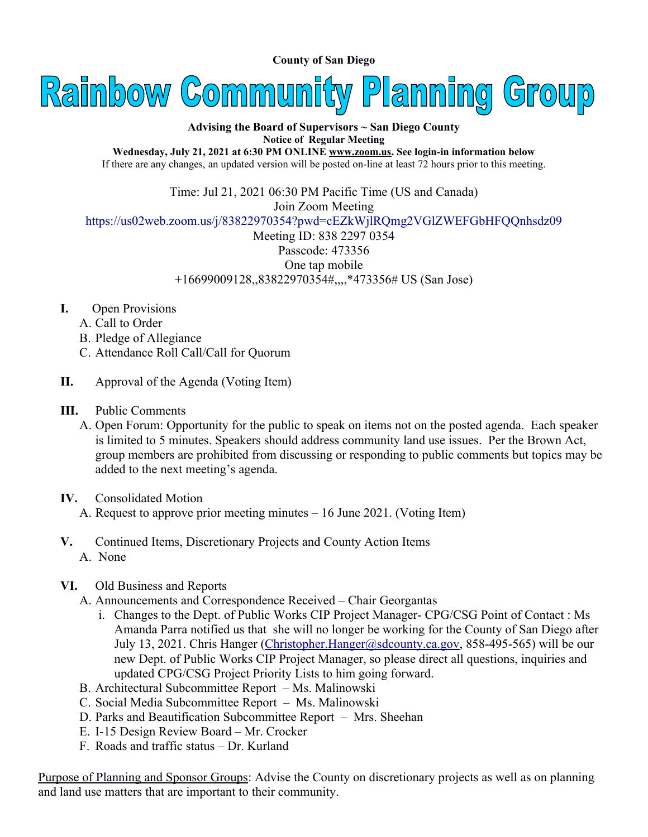**County of San Diego** 



## **Advising the Board of Supervisors ~ San Diego County Notice of Regular Meeting**

**Wednesday, July 21, 2021 at 6:30 PM ONLINE [www.zoom.us.](http://www.zoom.us/) See login-in information below** If there are any changes, an updated version will be posted on-line at least 72 hours prior to this meeting.

Time: Jul 21, 2021 06:30 PM Pacific Time (US and Canada)

Join Zoom Meeting

<https://us02web.zoom.us/j/83822970354?pwd=cEZkWjlRQmg2VGlZWEFGbHFQQnhsdz09>

Meeting ID: 838 2297 0354 Passcode: 473356 One tap mobile +16699009128,,83822970354#,,,,\*473356# US (San Jose)

- **I.** Open Provisions
	- A. Call to Order
	- B. Pledge of Allegiance
	- C. Attendance Roll Call/Call for Quorum
- **II.** Approval of the Agenda (Voting Item)
- **III.** Public Comments
	- A. Open Forum: Opportunity for the public to speak on items not on the posted agenda. Each speaker is limited to 5 minutes. Speakers should address community land use issues. Per the Brown Act, group members are prohibited from discussing or responding to public comments but topics may be added to the next meeting's agenda.
- **IV.** Consolidated Motion
	- A. Request to approve prior meeting minutes 16 June 2021. (Voting Item)
- **V.** Continued Items, Discretionary Projects and County Action Items A. None
- **VI.** Old Business and Reports
	- A. Announcements and Correspondence Received Chair Georgantas
		- i. Changes to the Dept. of Public Works CIP Project Manager- CPG/CSG Point of Contact : Ms Amanda Parra notified us that she will no longer be working for the County of San Diego after July 13, 2021. Chris Hanger [\(Christopher.Hanger@sdcounty.ca.gov](mailto:Christopher.Hanger@sdcounty.ca.gov), 858-495-565) will be our new Dept. of Public Works CIP Project Manager, so please direct all questions, inquiries and updated CPG/CSG Project Priority Lists to him going forward.
	- B. Architectural Subcommittee Report Ms. Malinowski
	- C. Social Media Subcommittee Report Ms. Malinowski
	- D. Parks and Beautification Subcommittee Report Mrs. Sheehan
	- E. I-15 Design Review Board Mr. Crocker
	- F. Roads and traffic status Dr. Kurland

Purpose of Planning and Sponsor Groups: Advise the County on discretionary projects as well as on planning and land use matters that are important to their community.